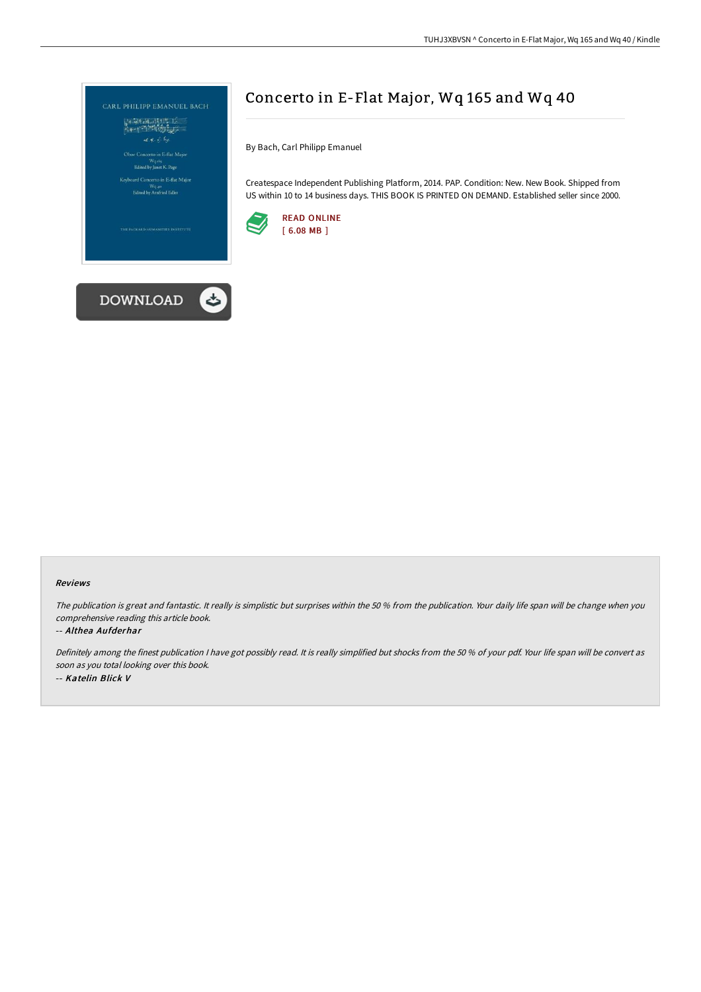

## Concerto in E-Flat Major, Wq 165 and Wq 40

By Bach, Carl Philipp Emanuel

Createspace Independent Publishing Platform, 2014. PAP. Condition: New. New Book. Shipped from US within 10 to 14 business days. THIS BOOK IS PRINTED ON DEMAND. Established seller since 2000.





The publication is great and fantastic. It really is simplistic but surprises within the <sup>50</sup> % from the publication. Your daily life span will be change when you comprehensive reading this article book.

## -- Althea Aufderhar

Definitely among the finest publication <sup>I</sup> have got possibly read. It is really simplified but shocks from the <sup>50</sup> % of your pdf. Your life span will be convert as soon as you total looking over this book. -- Katelin Blick V